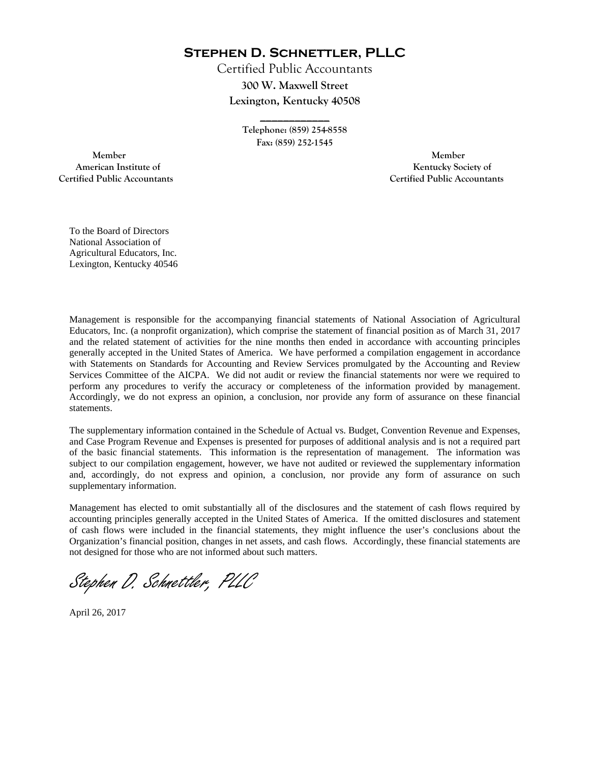**Stephen D. Schnettler, PLLC**

Certified Public Accountants **300 W. Maxwell Street Lexington, Kentucky 40508** 

> **Telephone: (859) 254-8558 Fax: (859) 252-1545**

**\_\_\_\_\_\_\_\_\_\_\_\_** 

 **Member Member Certified Public Accountants Certified Public Accountants** 

American Institute of **Kentucky Society of American Institute of** 

To the Board of Directors National Association of Agricultural Educators, Inc. Lexington, Kentucky 40546

Management is responsible for the accompanying financial statements of National Association of Agricultural Educators, Inc. (a nonprofit organization), which comprise the statement of financial position as of March 31, 2017 and the related statement of activities for the nine months then ended in accordance with accounting principles generally accepted in the United States of America. We have performed a compilation engagement in accordance with Statements on Standards for Accounting and Review Services promulgated by the Accounting and Review Services Committee of the AICPA. We did not audit or review the financial statements nor were we required to perform any procedures to verify the accuracy or completeness of the information provided by management. Accordingly, we do not express an opinion, a conclusion, nor provide any form of assurance on these financial statements.

The supplementary information contained in the Schedule of Actual vs. Budget, Convention Revenue and Expenses, and Case Program Revenue and Expenses is presented for purposes of additional analysis and is not a required part of the basic financial statements. This information is the representation of management. The information was subject to our compilation engagement, however, we have not audited or reviewed the supplementary information and, accordingly, do not express and opinion, a conclusion, nor provide any form of assurance on such supplementary information.

Management has elected to omit substantially all of the disclosures and the statement of cash flows required by accounting principles generally accepted in the United States of America. If the omitted disclosures and statement of cash flows were included in the financial statements, they might influence the user's conclusions about the Organization's financial position, changes in net assets, and cash flows. Accordingly, these financial statements are not designed for those who are not informed about such matters.

Stephen D. Schnettler, PLLC

April 26, 2017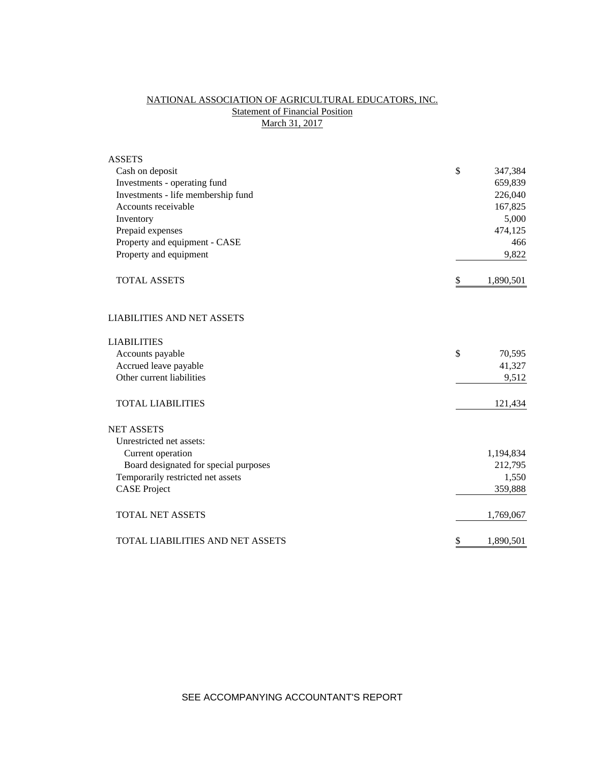# NATIONAL ASSOCIATION OF AGRICULTURAL EDUCATORS, INC. **Statement of Financial Position** March 31, 2017

| <b>ASSETS</b>                         |                 |
|---------------------------------------|-----------------|
| Cash on deposit                       | \$<br>347,384   |
| Investments - operating fund          | 659,839         |
| Investments - life membership fund    | 226,040         |
| Accounts receivable                   | 167,825         |
| Inventory                             | 5,000           |
| Prepaid expenses                      | 474,125         |
| Property and equipment - CASE         | 466             |
| Property and equipment                | 9,822           |
| <b>TOTAL ASSETS</b>                   | \$<br>1,890,501 |
| <b>LIABILITIES AND NET ASSETS</b>     |                 |
| <b>LIABILITIES</b>                    |                 |
| Accounts payable                      | \$<br>70,595    |
| Accrued leave payable                 | 41,327          |
| Other current liabilities             | 9,512           |
| <b>TOTAL LIABILITIES</b>              | 121,434         |
| <b>NET ASSETS</b>                     |                 |
| Unrestricted net assets:              |                 |
| Current operation                     | 1,194,834       |
| Board designated for special purposes | 212,795         |
| Temporarily restricted net assets     | 1,550           |
| <b>CASE Project</b>                   | 359,888         |
| <b>TOTAL NET ASSETS</b>               | 1,769,067       |
| TOTAL LIABILITIES AND NET ASSETS      | \$<br>1,890,501 |

SEE ACCOMPANYING ACCOUNTANT'S REPORT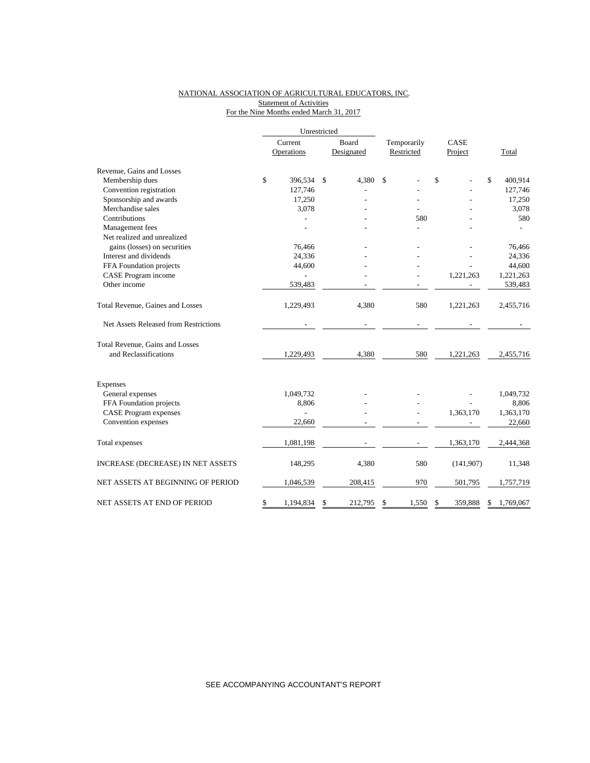#### NATIONAL ASSOCIATION OF AGRICULTURAL EDUCATORS, INC. **Statement of Activities** For the Nine Months ended March 31, 2017

|                                       | Unrestricted |                |    |            |             |               |    |           |  |
|---------------------------------------|--------------|----------------|----|------------|-------------|---------------|----|-----------|--|
|                                       |              | Current        |    | Board      | Temporarily | CASE          |    |           |  |
|                                       |              | Operations     |    | Designated | Restricted  | Project       |    | Total     |  |
| Revenue, Gains and Losses             |              |                |    |            |             |               |    |           |  |
| Membership dues                       | \$           | 396,534        | \$ | 4,380      | \$          | \$            | \$ | 400,914   |  |
| Convention registration               |              | 127,746        |    |            |             |               |    | 127,746   |  |
| Sponsorship and awards                |              | 17,250         |    |            |             |               |    | 17,250    |  |
| Merchandise sales                     |              | 3,078          |    |            |             |               |    | 3,078     |  |
| Contributions                         |              |                |    |            | 580         |               |    | 580       |  |
| Management fees                       |              |                |    |            |             |               |    |           |  |
| Net realized and unrealized           |              |                |    |            |             |               |    |           |  |
| gains (losses) on securities          |              | 76,466         |    |            |             |               |    | 76,466    |  |
| Interest and dividends                |              | 24,336         |    |            |             |               |    | 24,336    |  |
| FFA Foundation projects               |              | 44,600         |    |            |             |               |    | 44,600    |  |
| CASE Program income                   |              |                |    |            |             | 1,221,263     |    | 1,221,263 |  |
| Other income                          |              | 539,483        |    |            |             |               |    | 539,483   |  |
| Total Revenue, Gaines and Losses      |              | 1,229,493      |    | 4,380      | 580         | 1,221,263     |    | 2,455,716 |  |
| Net Assets Released from Restrictions |              |                |    |            |             |               |    |           |  |
| Total Revenue, Gains and Losses       |              |                |    |            |             |               |    |           |  |
| and Reclassifications                 |              | 1,229,493      |    | 4,380      | 580         | 1,221,263     |    | 2,455,716 |  |
| Expenses                              |              |                |    |            |             |               |    |           |  |
| General expenses                      |              | 1,049,732      |    |            |             |               |    | 1,049,732 |  |
| FFA Foundation projects               |              | 8,806          |    |            |             |               |    | 8,806     |  |
| <b>CASE Program expenses</b>          |              | $\overline{a}$ |    |            |             | 1,363,170     |    | 1,363,170 |  |
| Convention expenses                   |              | 22,660         |    |            |             |               |    | 22,660    |  |
| Total expenses                        |              | 1,081,198      |    |            |             | 1,363,170     |    | 2,444,368 |  |
| INCREASE (DECREASE) IN NET ASSETS     |              | 148,295        |    | 4,380      | 580         | (141, 907)    |    | 11,348    |  |
| NET ASSETS AT BEGINNING OF PERIOD     |              | 1,046,539      |    | 208,415    | 970         | 501,795       |    | 1,757,719 |  |
| NET ASSETS AT END OF PERIOD           | \$           | 1,194,834      | \$ | 212,795    | \$<br>1,550 | \$<br>359,888 | \$ | 1,769,067 |  |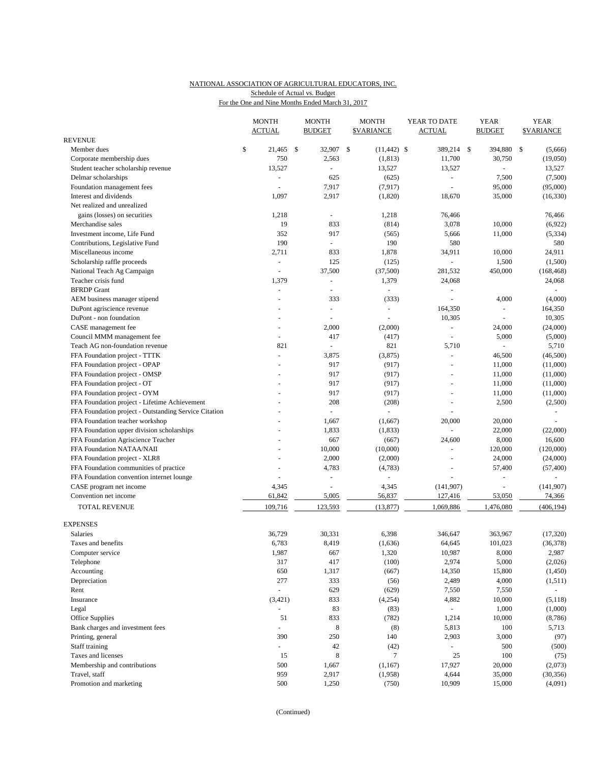### NATIONAL ASSOCIATION OF AGRICULTURAL EDUCATORS, INC. Schedule of Actual vs. Budget

| For the One and Nine Months Ended March 31, 2017 |  |  |
|--------------------------------------------------|--|--|
|                                                  |  |  |

|                                                       | <b>MONTH</b>             | <b>MONTH</b>             |               | <b>MONTH</b>            | YEAR TO DATE        | <b>YEAR</b>    | <b>YEAR</b>         |
|-------------------------------------------------------|--------------------------|--------------------------|---------------|-------------------------|---------------------|----------------|---------------------|
| <b>REVENUE</b>                                        | <b>ACTUAL</b>            | <b>BUDGET</b>            |               | <b><i>SVARIANCE</i></b> | <b>ACTUAL</b>       | <b>BUDGET</b>  | <b>SVARIANCE</b>    |
| Member dues                                           | \$<br>21,465 \$          | 32,907                   | $\mathcal{S}$ | $(11, 442)$ \$          | 389,214 \$          | 394,880        | <b>S</b><br>(5,666) |
| Corporate membership dues                             | 750                      | 2,563                    |               | (1, 813)                | 11,700              | 30,750         | (19,050)            |
| Student teacher scholarship revenue                   | 13,527                   | L.                       |               | 13,527                  | 13,527              |                | 13,527              |
| Delmar scholarships                                   | $\blacksquare$           | 625                      |               | (625)                   | ÷,                  | 7,500          | (7,500)             |
| Foundation management fees                            |                          | 7,917                    |               | (7, 917)                |                     | 95,000         | (95,000)            |
| Interest and dividends                                | 1,097                    | 2,917                    |               | (1,820)                 | 18,670              | 35,000         | (16, 330)           |
| Net realized and unrealized                           |                          |                          |               |                         |                     |                |                     |
| gains (losses) on securities                          | 1,218                    | ä,                       |               | 1,218                   | 76,466              |                | 76,466              |
| Merchandise sales                                     | 19                       | 833                      |               | (814)                   | 3,078               | 10,000         | (6,922)             |
| Investment income, Life Fund                          | 352                      | 917                      |               | (565)                   | 5,666               | 11,000         | (5, 334)            |
| Contributions, Legislative Fund                       | 190                      | $\omega$                 |               | 190                     | 580                 |                | 580                 |
| Miscellaneous income                                  | 2,711                    | 833                      |               | 1,878                   | 34,911              | 10,000         | 24,911              |
| Scholarship raffle proceeds                           | $\blacksquare$           | 125                      |               | (125)                   | $\equiv$            | 1,500          | (1,500)             |
| National Teach Ag Campaign                            | $\overline{\phantom{a}}$ | 37,500                   |               | (37,500)                | 281,532             | 450,000        | (168, 468)          |
| Teacher crisis fund                                   | 1,379                    | ä,                       |               | 1,379                   | 24,068              |                | 24,068              |
| <b>BFRDP</b> Grant                                    |                          | L.                       |               |                         | $\equiv$            |                |                     |
| AEM business manager stipend                          |                          | 333                      |               | (333)                   |                     | 4,000          | (4,000)             |
| DuPont agriscience revenue                            |                          | $\overline{\phantom{a}}$ |               | $\sim$                  | 164,350             | $\overline{a}$ | 164,350             |
| DuPont - non foundation                               |                          |                          |               |                         | 10,305              | ÷,             | 10,305              |
| CASE management fee                                   | $\sim$                   | 2,000                    |               | (2,000)                 | $\blacksquare$      | 24,000         | (24,000)            |
| Council MMM management fee                            |                          | 417                      |               | (417)                   | ÷,                  | 5,000          | (5,000)             |
| Teach AG non-foundation revenue                       | 821                      | $\overline{\phantom{a}}$ |               | 821                     | 5,710               |                | 5,710               |
| FFA Foundation project - TTTK                         | $\overline{\phantom{a}}$ | 3,875                    |               | (3,875)                 | $\overline{a}$      | 46,500         | (46,500)            |
| FFA Foundation project - OPAP                         |                          | 917                      |               | (917)                   |                     | 11,000         | (11,000)            |
| FFA Foundation project - OMSP                         |                          | 917                      |               | (917)                   | ÷,                  | 11,000         | (11,000)            |
| FFA Foundation project - OT                           |                          | 917                      |               | (917)                   |                     | 11,000         | (11,000)            |
| FFA Foundation project - OYM                          |                          | 917                      |               | (917)                   | ÷,                  | 11,000         | (11,000)            |
| FFA Foundation project - Lifetime Achievement         |                          | 208                      |               | (208)                   | ÷,                  | 2,500          | (2,500)             |
| FFA Foundation project - Outstanding Service Citation |                          | ÷,                       |               |                         |                     |                |                     |
| FFA Foundation teacher workshop                       |                          | 1,667                    |               | (1,667)                 | 20,000              | 20,000         |                     |
| FFA Foundation upper division scholarships            |                          | 1,833                    |               | (1, 833)                | $\overline{a}$      | 22,000         | (22,000)            |
| FFA Foundation Agriscience Teacher                    |                          | 667                      |               | (667)                   | 24,600              | 8,000          | 16,600              |
| FFA Foundation NATAA/NAII                             |                          | 10,000                   |               | (10,000)                | $\bar{\phantom{a}}$ | 120,000        | (120,000)           |
| FFA Foundation project - XLR8                         |                          | 2,000                    |               | (2,000)                 |                     | 24,000         | (24,000)            |
| FFA Foundation communities of practice                |                          | 4,783                    |               | (4,783)                 | $\bar{a}$           | 57,400         | (57, 400)           |
| FFA Foundation convention internet lounge             |                          |                          |               |                         |                     |                | $\sim$              |
| CASE program net income                               | 4,345                    | ÷,                       |               | 4,345                   | (141, 907)          | L,             | (141, 907)          |
| Convention net income                                 | 61,842                   | 5,005                    |               | 56,837                  | 127,416             | 53,050         | 74,366              |
| TOTAL REVENUE                                         | 109,716                  | 123,593                  |               | (13, 877)               | 1,069,886           | 1,476,080      | (406, 194)          |
| <b>EXPENSES</b>                                       |                          |                          |               |                         |                     |                |                     |
| Salaries                                              | 36,729                   | 30,331                   |               | 6,398                   | 346,647             | 363,967        | (17, 320)           |
| Taxes and benefits                                    | 6,783                    | 8,419                    |               | (1,636)                 | 64,645              | 101,023        | (36, 378)           |
| Computer service                                      | 1,987                    | 667                      |               | 1,320                   | 10,987              | 8,000          | 2,987               |
| Telephone                                             | 317                      | 417                      |               | (100)                   | 2,974               | 5,000          | (2,026)             |
| Accounting                                            | 650                      | 1,317                    |               | (667)                   | 14,350              | 15,800         | (1, 450)            |
| Depreciation                                          | 277                      | 333                      |               | (56)                    | 2,489               | 4,000          | (1,511)             |
| Rent                                                  | $\overline{\phantom{a}}$ | 629                      |               | (629)                   | 7,550               | 7,550          | $\omega_{\rm c}$    |
| Insurance                                             | (3, 421)                 | 833                      |               | (4,254)                 | 4,882               | 10,000         | (5, 118)            |
| Legal                                                 |                          | 83                       |               | (83)                    | $\sim$              | 1,000          | (1,000)             |
| Office Supplies                                       | 51                       | 833                      |               | (782)                   | 1,214               | 10,000         | (8,786)             |
| Bank charges and investment fees                      | $\Box$                   | $\,8\,$                  |               | (8)                     | 5,813               | 100            | 5,713               |
| Printing, general                                     | 390                      | 250                      |               | 140                     | 2,903               | 3,000          | (97)                |
| Staff training                                        | $\omega_{\rm c}$         | 42                       |               | (42)                    | $\omega_{\rm c}$    | 500            | (500)               |
| Taxes and licenses                                    | 15                       | 8                        |               | $\tau$                  | 25                  | 100            | (75)                |
| Membership and contributions                          | 500                      | 1,667                    |               | (1, 167)                | 17,927              | 20,000         | (2,073)             |
| Travel, staff                                         | 959                      | 2,917                    |               | (1,958)                 | 4,644               | 35,000         | (30, 356)           |
| Promotion and marketing                               | 500                      | 1,250                    |               | (750)                   | 10,909              | 15,000         | (4,091)             |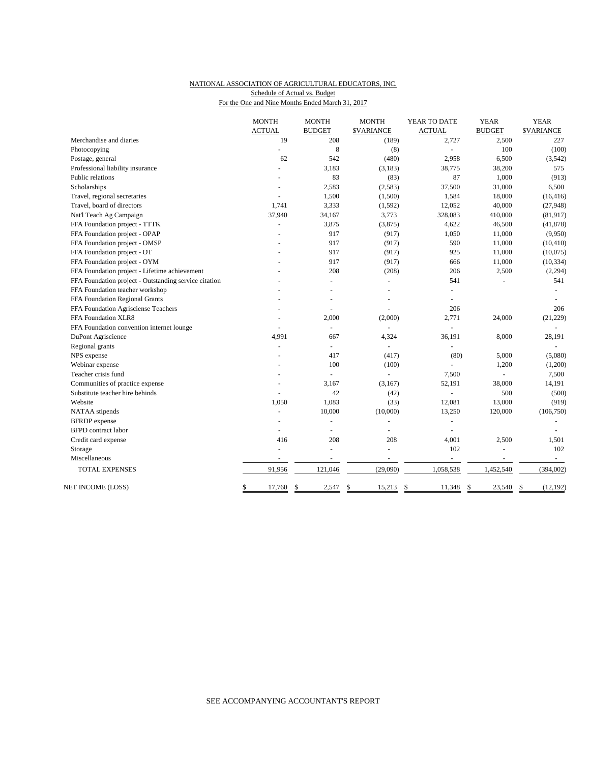# NATIONAL ASSOCIATION OF AGRICULTURAL EDUCATORS, INC. Schedule of Actual vs. Budget

For the One and Nine Months Ended March 31, 2017

|                                                       | <b>MONTH</b>             | <b>MONTH</b>             | <b>MONTH</b>      | YEAR TO DATE             | <b>YEAR</b>   | <b>YEAR</b>       |
|-------------------------------------------------------|--------------------------|--------------------------|-------------------|--------------------------|---------------|-------------------|
|                                                       | <b>ACTUAL</b>            | <b>BUDGET</b>            | <b>\$VARIANCE</b> | <b>ACTUAL</b>            | <b>BUDGET</b> | <b>\$VARIANCE</b> |
| Merchandise and diaries                               | 19                       | 208                      | (189)             | 2,727                    | 2,500         | 227               |
| Photocopying                                          |                          | 8                        | (8)               | ÷,                       | 100           | (100)             |
| Postage, general                                      | 62                       | 542                      | (480)             | 2,958                    | 6,500         | (3,542)           |
| Professional liability insurance                      | $\overline{a}$           | 3,183                    | (3, 183)          | 38,775                   | 38,200        | 575               |
| Public relations                                      |                          | 83                       | (83)              | 87                       | 1,000         | (913)             |
| Scholarships                                          |                          | 2,583                    | (2,583)           | 37,500                   | 31,000        | 6,500             |
| Travel, regional secretaries                          |                          | 1,500                    | (1,500)           | 1,584                    | 18,000        | (16, 416)         |
| Travel, board of directors                            | 1.741                    | 3,333                    | (1, 592)          | 12,052                   | 40,000        | (27, 948)         |
| Nat'l Teach Ag Campaign                               | 37,940                   | 34,167                   | 3,773             | 328,083                  | 410,000       | (81, 917)         |
| FFA Foundation project - TTTK                         |                          | 3,875                    | (3,875)           | 4,622                    | 46,500        | (41, 878)         |
| FFA Foundation project - OPAP                         |                          | 917                      | (917)             | 1,050                    | 11,000        | (9,950)           |
| FFA Foundation project - OMSP                         |                          | 917                      | (917)             | 590                      | 11,000        | (10, 410)         |
| FFA Foundation project - OT                           |                          | 917                      | (917)             | 925                      | 11,000        | (10,075)          |
| FFA Foundation project - OYM                          |                          | 917                      | (917)             | 666                      | 11,000        | (10, 334)         |
| FFA Foundation project - Lifetime achievement         |                          | 208                      | (208)             | 206                      | 2,500         | (2, 294)          |
| FFA Foundation project - Outstanding service citation |                          | $\overline{a}$           | $\blacksquare$    | 541                      |               | 541               |
| FFA Foundation teacher workshop                       |                          |                          |                   | L.                       |               |                   |
| FFA Foundation Regional Grants                        |                          |                          |                   |                          |               |                   |
| FFA Foundation Agrisciense Teachers                   |                          | ÷,                       |                   | 206                      |               | 206               |
| FFA Foundation XLR8                                   |                          | 2,000                    | (2,000)           | 2,771                    | 24,000        | (21, 229)         |
| FFA Foundation convention internet lounge             |                          | $\overline{a}$           |                   | L.                       |               | $\sim$            |
| DuPont Agriscience                                    | 4,991                    | 667                      | 4,324             | 36,191                   | 8,000         | 28,191            |
| Regional grants                                       |                          | $\sim$                   | $\overline{a}$    |                          |               |                   |
| NPS expense                                           |                          | 417                      | (417)             | (80)                     | 5,000         | (5,080)           |
| Webinar expense                                       |                          | 100                      | (100)             |                          | 1,200         | (1,200)           |
| Teacher crisis fund                                   |                          | $\overline{a}$           | $\overline{a}$    | 7,500                    |               | 7,500             |
| Communities of practice expense                       |                          | 3,167                    | (3,167)           | 52,191                   | 38,000        | 14,191            |
| Substitute teacher hire behinds                       |                          | 42                       | (42)              |                          | 500           | (500)             |
| Website                                               | 1,050                    | 1,083                    | (33)              | 12,081                   | 13,000        | (919)             |
| NATAA stipends                                        | ä,                       | 10,000                   | (10,000)          | 13,250                   | 120,000       | (106, 750)        |
| <b>BFRDP</b> expense                                  |                          |                          |                   |                          |               |                   |
| <b>BFPD</b> contract labor                            | $\overline{\phantom{a}}$ | $\overline{\phantom{a}}$ | ÷,                | $\sim$                   |               |                   |
| Credit card expense                                   | 416                      | 208                      | 208               | 4,001                    | 2,500         | 1,501             |
| Storage                                               | ÷                        | $\overline{a}$           | $\sim$            | 102                      | $\sim$        | 102               |
| Miscellaneous                                         | $\blacksquare$           | ÷,                       | $\sim$            | $\overline{\phantom{a}}$ | $\sim$        | $\sim$            |
| TOTAL EXPENSES                                        | 91,956                   | 121,046                  | (29,090)          | 1,058,538                | 1,452,540     | (394,002)         |
| NET INCOME (LOSS)                                     | \$<br>17,760             | \$<br>2,547              | \$<br>15,213      | \$<br>11,348             | \$<br>23,540  | \$<br>(12, 192)   |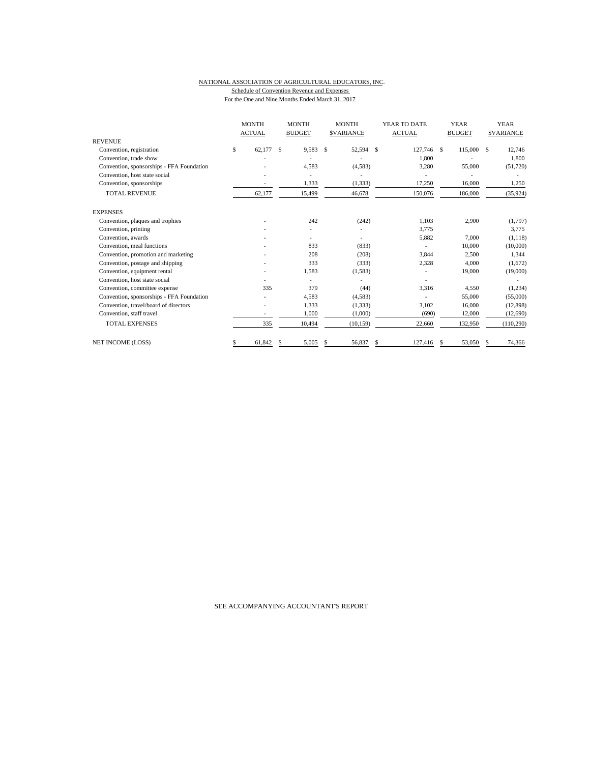#### NATIONAL ASSOCIATION OF AGRICULTURAL EDUCATORS, INC. Schedule of Convention Revenue and Expenses For the One and Nine Months Ended March 31, 2017

|                                           | <b>MONTH</b><br><b>ACTUAL</b> |   | <b>MONTH</b><br><b>BUDGET</b> |               | <b>MONTH</b><br><b>SVARIANCE</b> | YEAR TO DATE<br><b>ACTUAL</b> |      | <b>YEAR</b><br><b>BUDGET</b> |   | <b>YEAR</b><br><b>SVARIANCE</b> |
|-------------------------------------------|-------------------------------|---|-------------------------------|---------------|----------------------------------|-------------------------------|------|------------------------------|---|---------------------------------|
| <b>REVENUE</b>                            |                               |   |                               |               |                                  |                               |      |                              |   |                                 |
| Convention, registration                  | \$<br>62,177                  | S | 9,583                         | <sup>\$</sup> | 52,594 \$                        | 127,746                       | - \$ | 115,000                      | S | 12,746                          |
| Convention, trade show                    |                               |   |                               |               |                                  | 1,800                         |      |                              |   | 1,800                           |
| Convention, sponsorships - FFA Foundation |                               |   | 4,583                         |               | (4,583)                          | 3,280                         |      | 55,000                       |   | (51, 720)                       |
| Convention, host state social             |                               |   |                               |               |                                  |                               |      |                              |   |                                 |
| Convention, sponsorships                  |                               |   | 1,333                         |               | (1, 333)                         | 17,250                        |      | 16,000                       |   | 1,250                           |
| <b>TOTAL REVENUE</b>                      | 62,177                        |   | 15,499                        |               | 46,678                           | 150,076                       |      | 186,000                      |   | (35, 924)                       |
| <b>EXPENSES</b>                           |                               |   |                               |               |                                  |                               |      |                              |   |                                 |
| Convention, plaques and trophies          |                               |   | 242                           |               | (242)                            | 1.103                         |      | 2,900                        |   | (1,797)                         |
| Convention, printing                      |                               |   |                               |               |                                  | 3,775                         |      |                              |   | 3,775                           |
| Convention, awards                        |                               |   |                               |               | ٠                                | 5,882                         |      | 7,000                        |   | (1, 118)                        |
| Convention, meal functions                |                               |   | 833                           |               | (833)                            |                               |      | 10,000                       |   | (10,000)                        |
| Convention, promotion and marketing       |                               |   | 208                           |               | (208)                            | 3,844                         |      | 2,500                        |   | 1,344                           |
| Convention, postage and shipping          |                               |   | 333                           |               | (333)                            | 2,328                         |      | 4,000                        |   | (1,672)                         |
| Convention, equipment rental              |                               |   | 1,583                         |               | (1,583)                          |                               |      | 19,000                       |   | (19,000)                        |
| Convention, host state social             |                               |   |                               |               |                                  |                               |      |                              |   |                                 |
| Convention, committee expense             | 335                           |   | 379                           |               | (44)                             | 3.316                         |      | 4,550                        |   | (1,234)                         |
| Convention, sponsorships - FFA Foundation |                               |   | 4,583                         |               | (4,583)                          |                               |      | 55,000                       |   | (55,000)                        |
| Convention, travel/board of directors     |                               |   | 1,333                         |               | (1, 333)                         | 3,102                         |      | 16,000                       |   | (12,898)                        |
| Convention, staff travel                  |                               |   | 1,000                         |               | (1,000)                          | (690)                         |      | 12,000                       |   | (12,690)                        |
| <b>TOTAL EXPENSES</b>                     | 335                           |   | 10,494                        |               | (10, 159)                        | 22,660                        |      | 132,950                      |   | (110, 290)                      |
| NET INCOME (LOSS)                         | 61,842                        | S | 5,005                         | -S            | 56,837                           | \$<br>127,416                 | -S   | 53,050                       | S | 74,366                          |

SEE ACCOMPANYING ACCOUNTANT'S REPORT